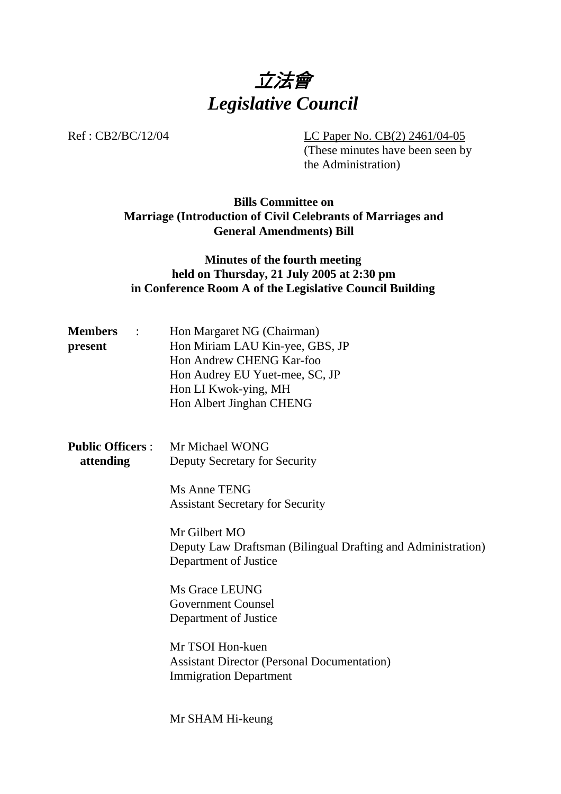

Ref : CB2/BC/12/04 LC Paper No. CB(2) 2461/04-05

(These minutes have been seen by the Administration)

# **Bills Committee on Marriage (Introduction of Civil Celebrants of Marriages and General Amendments) Bill**

# **Minutes of the fourth meeting held on Thursday, 21 July 2005 at 2:30 pm in Conference Room A of the Legislative Council Building**

| <b>Members</b> | $\mathcal{L}$ | Hon Margaret NG (Chairman)      |
|----------------|---------------|---------------------------------|
| present        |               | Hon Miriam LAU Kin-yee, GBS, JP |
|                |               | Hon Andrew CHENG Kar-foo        |
|                |               | Hon Audrey EU Yuet-mee, SC, JP  |
|                |               | Hon LI Kwok-ying, MH            |
|                |               | Hon Albert Jinghan CHENG        |

**Public Officers** : Mr Michael WONG **attending** Deputy Secretary for Security

> Ms Anne TENG Assistant Secretary for Security

Mr Gilbert MO Deputy Law Draftsman (Bilingual Drafting and Administration) Department of Justice

Ms Grace LEUNG Government Counsel Department of Justice

Mr TSOI Hon-kuen Assistant Director (Personal Documentation) Immigration Department

Mr SHAM Hi-keung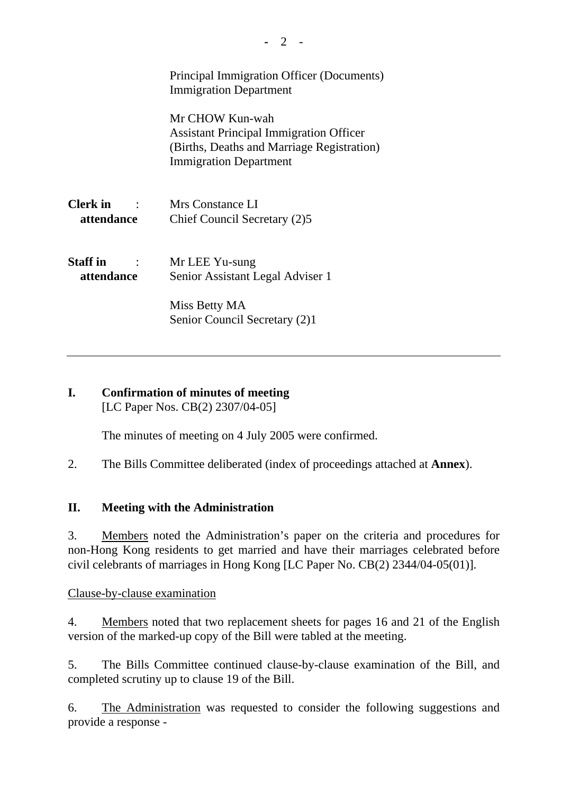|                               | Principal Immigration Officer (Documents)<br><b>Immigration Department</b>                                                                       |
|-------------------------------|--------------------------------------------------------------------------------------------------------------------------------------------------|
|                               | Mr CHOW Kun-wah<br><b>Assistant Principal Immigration Officer</b><br>(Births, Deaths and Marriage Registration)<br><b>Immigration Department</b> |
| <b>Clerk</b> in<br>attendance | Mrs Constance LI<br>Chief Council Secretary (2)5                                                                                                 |
| <b>Staff</b> in<br>attendance | Mr LEE Yu-sung<br>Senior Assistant Legal Adviser 1                                                                                               |
|                               | Miss Betty MA<br>Senior Council Secretary (2)1                                                                                                   |

### **I. Confirmation of minutes of meeting**  [LC Paper Nos. CB(2) 2307/04-05]

The minutes of meeting on 4 July 2005 were confirmed.

2. The Bills Committee deliberated (index of proceedings attached at **Annex**).

# **II. Meeting with the Administration**

3. Members noted the Administration's paper on the criteria and procedures for non-Hong Kong residents to get married and have their marriages celebrated before civil celebrants of marriages in Hong Kong [LC Paper No. CB(2) 2344/04-05(01)].

Clause-by-clause examination

4. Members noted that two replacement sheets for pages 16 and 21 of the English version of the marked-up copy of the Bill were tabled at the meeting.

5. The Bills Committee continued clause-by-clause examination of the Bill, and completed scrutiny up to clause 19 of the Bill.

6. The Administration was requested to consider the following suggestions and provide a response -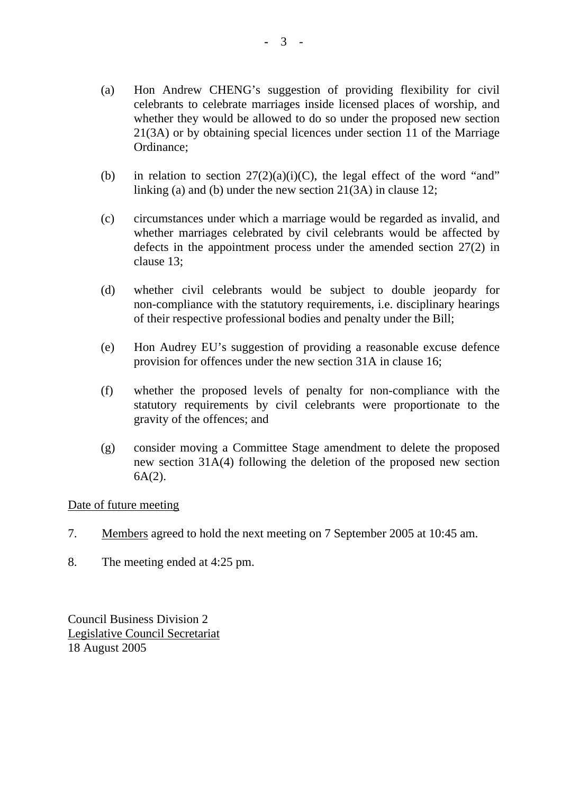- (a) Hon Andrew CHENG's suggestion of providing flexibility for civil celebrants to celebrate marriages inside licensed places of worship, and whether they would be allowed to do so under the proposed new section 21(3A) or by obtaining special licences under section 11 of the Marriage Ordinance;
- (b) in relation to section  $27(2)(a)(i)(C)$ , the legal effect of the word "and" linking (a) and (b) under the new section 21(3A) in clause 12;
- (c) circumstances under which a marriage would be regarded as invalid, and whether marriages celebrated by civil celebrants would be affected by defects in the appointment process under the amended section 27(2) in clause 13;
- (d) whether civil celebrants would be subject to double jeopardy for non-compliance with the statutory requirements, i.e. disciplinary hearings of their respective professional bodies and penalty under the Bill;
- (e) Hon Audrey EU's suggestion of providing a reasonable excuse defence provision for offences under the new section 31A in clause 16;
- (f) whether the proposed levels of penalty for non-compliance with the statutory requirements by civil celebrants were proportionate to the gravity of the offences; and
- (g) consider moving a Committee Stage amendment to delete the proposed new section 31A(4) following the deletion of the proposed new section  $6A(2)$ .

Date of future meeting

- 7. Members agreed to hold the next meeting on 7 September 2005 at 10:45 am.
- 8. The meeting ended at 4:25 pm.

Council Business Division 2 Legislative Council Secretariat 18 August 2005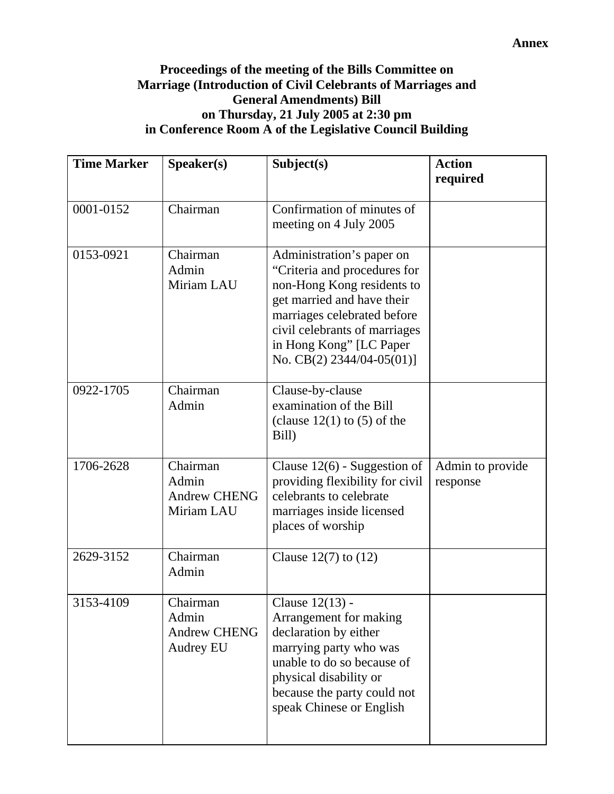# **Proceedings of the meeting of the Bills Committee on Marriage (Introduction of Civil Celebrants of Marriages and General Amendments) Bill on Thursday, 21 July 2005 at 2:30 pm in Conference Room A of the Legislative Council Building**

| <b>Time Marker</b> | Speaker(s)                                                   | Subject(s)                                                                                                                                                                                                                                       | <b>Action</b><br>required    |
|--------------------|--------------------------------------------------------------|--------------------------------------------------------------------------------------------------------------------------------------------------------------------------------------------------------------------------------------------------|------------------------------|
| 0001-0152          | Chairman                                                     | Confirmation of minutes of<br>meeting on 4 July 2005                                                                                                                                                                                             |                              |
| 0153-0921          | Chairman<br>Admin<br>Miriam LAU                              | Administration's paper on<br>"Criteria and procedures for<br>non-Hong Kong residents to<br>get married and have their<br>marriages celebrated before<br>civil celebrants of marriages<br>in Hong Kong" [LC Paper<br>No. CB(2) $2344/04-05(01)$ ] |                              |
| 0922-1705          | Chairman<br>Admin                                            | Clause-by-clause<br>examination of the Bill<br>(clause $12(1)$ to (5) of the<br>Bill)                                                                                                                                                            |                              |
| 1706-2628          | Chairman<br>Admin<br><b>Andrew CHENG</b><br>Miriam LAU       | Clause $12(6)$ - Suggestion of<br>providing flexibility for civil<br>celebrants to celebrate<br>marriages inside licensed<br>places of worship                                                                                                   | Admin to provide<br>response |
| 2629-3152          | Chairman<br>Admin                                            | Clause $12(7)$ to $(12)$                                                                                                                                                                                                                         |                              |
| 3153-4109          | Chairman<br>Admin<br><b>Andrew CHENG</b><br><b>Audrey EU</b> | Clause 12(13) -<br>Arrangement for making<br>declaration by either<br>marrying party who was<br>unable to do so because of<br>physical disability or<br>because the party could not<br>speak Chinese or English                                  |                              |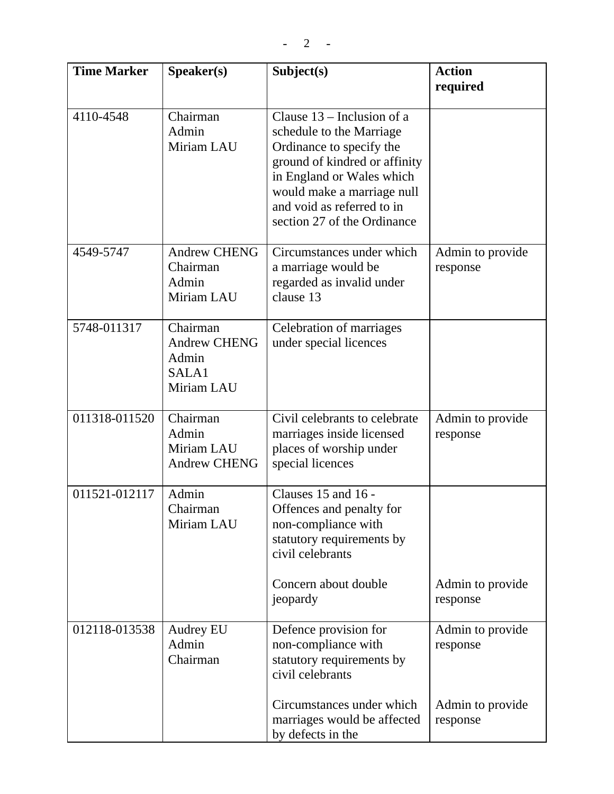| <b>Time Marker</b> | Speaker(s)                                                      | Subject(s)                                                                                                                                                                                                                                    | <b>Action</b><br>required    |
|--------------------|-----------------------------------------------------------------|-----------------------------------------------------------------------------------------------------------------------------------------------------------------------------------------------------------------------------------------------|------------------------------|
| 4110-4548          | Chairman<br>Admin<br>Miriam LAU                                 | Clause $13$ – Inclusion of a<br>schedule to the Marriage<br>Ordinance to specify the<br>ground of kindred or affinity<br>in England or Wales which<br>would make a marriage null<br>and void as referred to in<br>section 27 of the Ordinance |                              |
| 4549-5747          | <b>Andrew CHENG</b><br>Chairman<br>Admin<br>Miriam LAU          | Circumstances under which<br>a marriage would be<br>regarded as invalid under<br>clause 13                                                                                                                                                    | Admin to provide<br>response |
| 5748-011317        | Chairman<br><b>Andrew CHENG</b><br>Admin<br>SALA1<br>Miriam LAU | Celebration of marriages<br>under special licences                                                                                                                                                                                            |                              |
| 011318-011520      | Chairman<br>Admin<br>Miriam LAU<br><b>Andrew CHENG</b>          | Civil celebrants to celebrate<br>marriages inside licensed<br>places of worship under<br>special licences                                                                                                                                     | Admin to provide<br>response |
| 011521-012117      | Admin<br>Chairman<br>Miriam LAU                                 | Clauses 15 and 16 -<br>Offences and penalty for<br>non-compliance with<br>statutory requirements by<br>civil celebrants<br>Concern about double<br>jeopardy                                                                                   | Admin to provide<br>response |
| 012118-013538      | Audrey EU<br>Admin<br>Chairman                                  | Defence provision for<br>non-compliance with<br>statutory requirements by<br>civil celebrants                                                                                                                                                 | Admin to provide<br>response |
|                    |                                                                 | Circumstances under which<br>marriages would be affected<br>by defects in the                                                                                                                                                                 | Admin to provide<br>response |